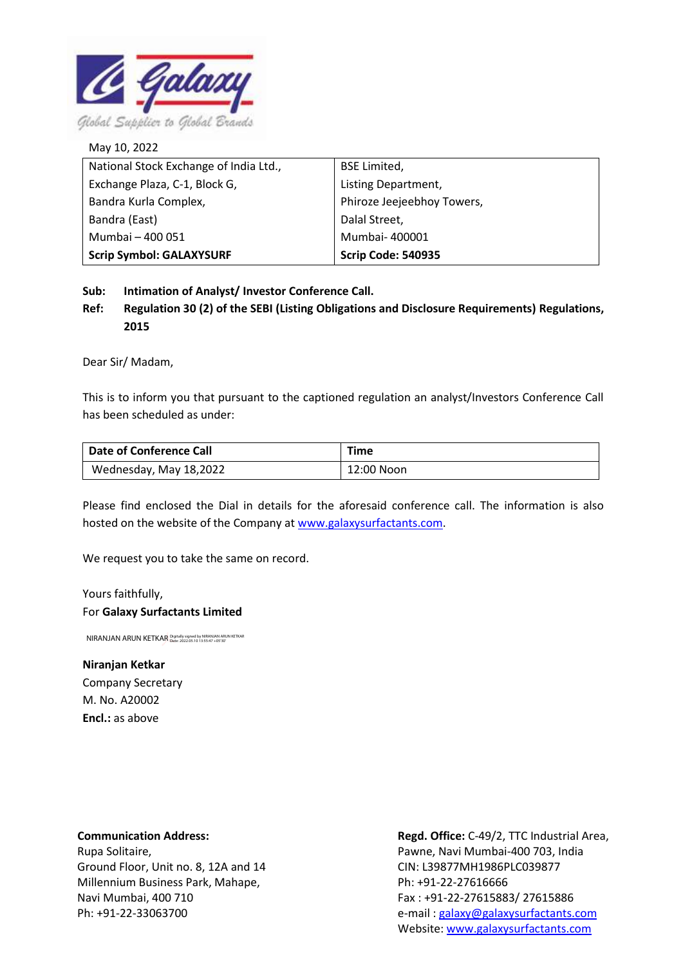

National Stock Exchange of India Ltd., Exchange Plaza, C-1, Block G, Bandra Kurla Complex, Bandra (East) Mumbai – 400 051 **Scrip Symbol: GALAXYSURF** BSE Limited, Listing Department, Phiroze Jeejeebhoy Towers, Dalal Street, Mumbai- 400001 **Scrip Code: 540935** May 10, 2022

**Sub: Intimation of Analyst/ Investor Conference Call.**

**Ref: Regulation 30 (2) of the SEBI (Listing Obligations and Disclosure Requirements) Regulations, 2015**

Dear Sir/ Madam,

This is to inform you that pursuant to the captioned regulation an analyst/Investors Conference Call has been scheduled as under:

| Date of Conference Call | <b>Time</b> |
|-------------------------|-------------|
| Wednesday, May 18,2022  | 12:00 Noon  |

Please find enclosed the Dial in details for the aforesaid conference call. The information is also hosted on the website of the Company a[t www.galaxysurfactants.com.](http://www.galaxysurfactants.com/)

We request you to take the same on record.

Yours faithfully, For **Galaxy Surfactants Limited**

NIRANJAN ARUN KETKAR Digitally signed by NIRANJAN ARUN KETKAR

## **Niranjan Ketkar**

Company Secretary M. No. A20002 **Encl.:** as above

**Communication Address:**

Rupa Solitaire, Ground Floor, Unit no. 8, 12A and 14 Millennium Business Park, Mahape, Navi Mumbai, 400 710 Ph: +91-22-33063700

**Regd. Office:** C-49/2, TTC Industrial Area, Pawne, Navi Mumbai-400 703, India CIN: L39877MH1986PLC039877 Ph: +91-22-27616666 Fax : +91-22-27615883/ 27615886 e-mail [: galaxy@galaxysurfactants.com](mailto:galaxy@galaxysurfactants.com) Website: [www.galaxysurfactants.com](http://www.galaxysurfactants.com/)